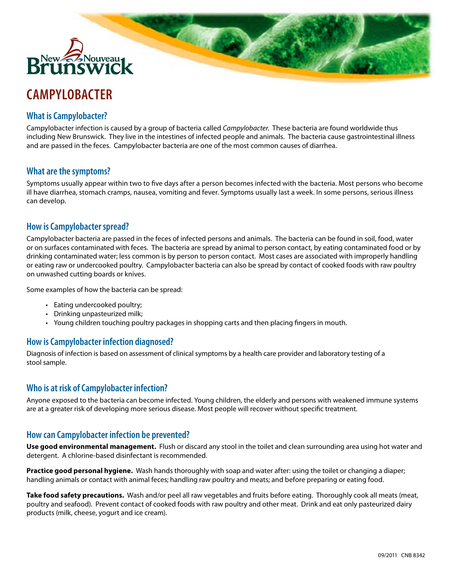

# **CAMPYLOBACTER**

## **What is Campylobacter?**

Campylobacter infection is caused by a group of bacteria called *Campylobacter*. These bacteria are found worldwide thus including New Brunswick. They live in the intestines of infected people and animals. The bacteria cause gastrointestinal illness and are passed in the feces. Campylobacter bacteria are one of the most common causes of diarrhea.

### **What are the symptoms?**

Symptoms usually appear within two to five days after a person becomes infected with the bacteria. Most persons who become ill have diarrhea, stomach cramps, nausea, vomiting and fever. Symptoms usually last a week. In some persons, serious illness can develop.

#### **How is Campylobacter spread?**

Campylobacter bacteria are passed in the feces of infected persons and animals. The bacteria can be found in soil, food, water or on surfaces contaminated with feces. The bacteria are spread by animal to person contact, by eating contaminated food or by drinking contaminated water; less common is by person to person contact. Most cases are associated with improperly handling or eating raw or undercooked poultry. Campylobacter bacteria can also be spread by contact of cooked foods with raw poultry on unwashed cutting boards or knives.

Some examples of how the bacteria can be spread:

- Eating undercooked poultry;
- Drinking unpasteurized milk;
- • Young children touching poultry packages in shopping carts and then placing fingers in mouth.

### **How is Campylobacter infection diagnosed?**

Diagnosis of infection is based on assessment of clinical symptoms by a health care provider and laboratory testing of a stool sample.

### **Who is at risk of Campylobacter infection?**

Anyone exposed to the bacteria can become infected. Young children, the elderly and persons with weakened immune systems are at a greater risk of developing more serious disease. Most people will recover without specific treatment.

### **How can Campylobacter infection be prevented?**

**Use good environmental management.** Flush or discard any stool in the toilet and clean surrounding area using hot water and detergent. A chlorine-based disinfectant is recommended.

**Practice good personal hygiene.** Wash hands thoroughly with soap and water after: using the toilet or changing a diaper; handling animals or contact with animal feces; handling raw poultry and meats; and before preparing or eating food.

**Take food safety precautions.** Wash and/or peel all raw vegetables and fruits before eating. Thoroughly cook all meats (meat, poultry and seafood). Prevent contact of cooked foods with raw poultry and other meat. Drink and eat only pasteurized dairy products (milk, cheese, yogurt and ice cream).